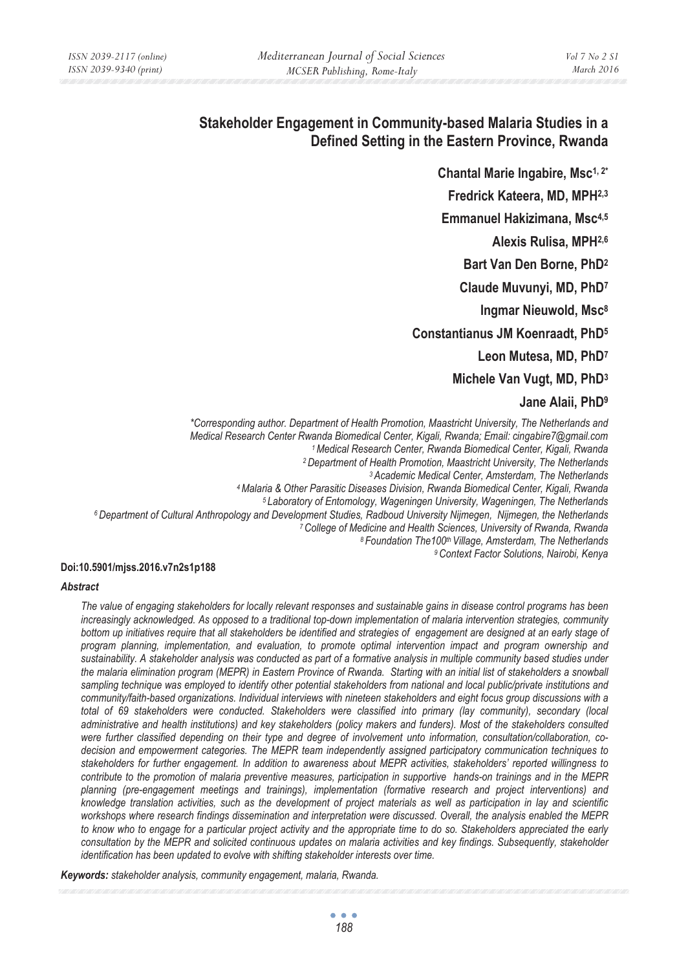# **Stakeholder Engagement in Community-based Malaria Studies in a Defined Setting in the Eastern Province, Rwanda**

Chantal Marie Ingabire, Msc<sup>1, 2\*</sup> **Fredrick Kateera, MD, MPH2,3 Emmanuel Hakizimana, Msc4,5 Alexis Rulisa, MPH2,6 Bart Van Den Borne, PhD2 Claude Muvunyi, MD, PhD7 Ingmar Nieuwold, Msc8 Constantianus JM Koenraadt, PhD5 Leon Mutesa, MD, PhD7 Michele Van Vugt, MD, PhD3 Jane Alaii, PhD9**

*\*Corresponding author. Department of Health Promotion, Maastricht University, The Netherlands and*  Medical Research Center Rwanda Biomedical Center, Kigali, Rwanda; Email: cingabire7@gmail.com<br>
1 Medical Research Center, Rwanda Biomedical Center, Kigali, Rwanda<br>
2 Department of Health Promotion, Maastricht University, T

#### **Doi:10.5901/mjss.2016.v7n2s1p188**

#### *Abstract*

*The value of engaging stakeholders for locally relevant responses and sustainable gains in disease control programs has been*  increasingly acknowledged. As opposed to a traditional top-down implementation of malaria intervention strategies, community bottom up initiatives require that all stakeholders be identified and strategies of engagement are designed at an early stage of *program planning, implementation, and evaluation, to promote optimal intervention impact and program ownership and sustainability. A stakeholder analysis was conducted as part of a formative analysis in multiple community based studies under the malaria elimination program (MEPR) in Eastern Province of Rwanda. Starting with an initial list of stakeholders a snowball* sampling technique was employed to identify other potential stakeholders from national and local public/private institutions and *community/faith-based organizations. Individual interviews with nineteen stakeholders and eight focus group discussions with a total of 69 stakeholders were conducted. Stakeholders were classified into primary (lay community), secondary (local administrative and health institutions) and key stakeholders (policy makers and funders). Most of the stakeholders consulted were further classified depending on their type and degree of involvement unto information, consultation/collaboration, codecision and empowerment categories. The MEPR team independently assigned participatory communication techniques to stakeholders for further engagement. In addition to awareness about MEPR activities, stakeholders' reported willingness to contribute to the promotion of malaria preventive measures, participation in supportive hands-on trainings and in the MEPR planning (pre-engagement meetings and trainings), implementation (formative research and project interventions) and knowledge translation activities, such as the development of project materials as well as participation in lay and scientific workshops where research findings dissemination and interpretation were discussed. Overall, the analysis enabled the MEPR to know who to engage for a particular project activity and the appropriate time to do so. Stakeholders appreciated the early consultation by the MEPR and solicited continuous updates on malaria activities and key findings. Subsequently, stakeholder identification has been updated to evolve with shifting stakeholder interests over time.* 

*Keywords: stakeholder analysis, community engagement, malaria, Rwanda.*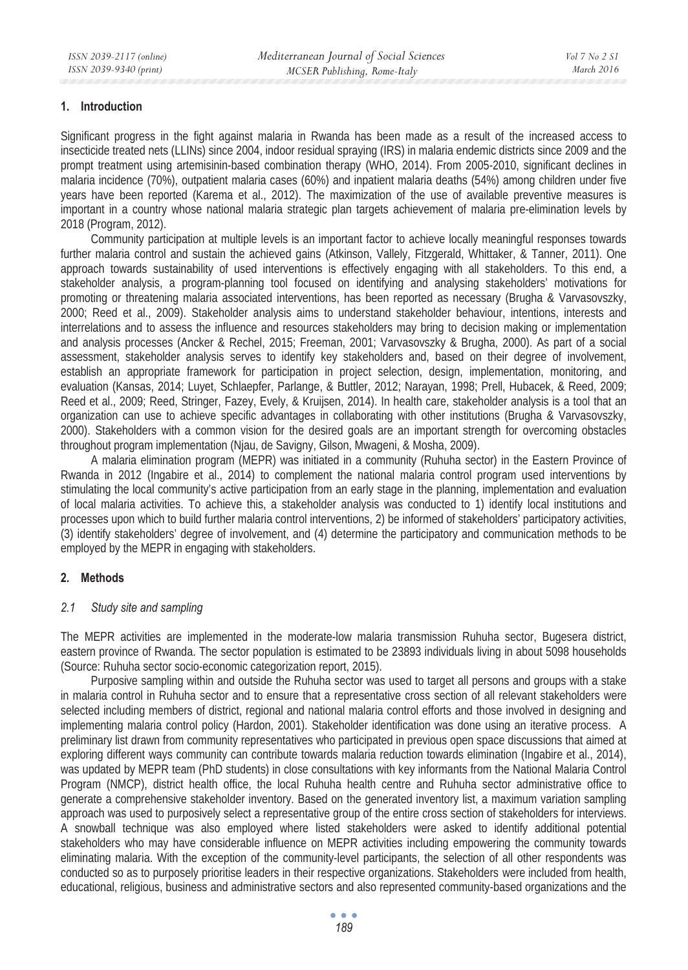#### **1. Introduction**

Significant progress in the fight against malaria in Rwanda has been made as a result of the increased access to insecticide treated nets (LLINs) since 2004, indoor residual spraying (IRS) in malaria endemic districts since 2009 and the prompt treatment using artemisinin-based combination therapy (WHO, 2014). From 2005-2010, significant declines in malaria incidence (70%), outpatient malaria cases (60%) and inpatient malaria deaths (54%) among children under five years have been reported (Karema et al., 2012). The maximization of the use of available preventive measures is important in a country whose national malaria strategic plan targets achievement of malaria pre-elimination levels by 2018 (Program, 2012).

Community participation at multiple levels is an important factor to achieve locally meaningful responses towards further malaria control and sustain the achieved gains (Atkinson, Vallely, Fitzgerald, Whittaker, & Tanner, 2011). One approach towards sustainability of used interventions is effectively engaging with all stakeholders. To this end, a stakeholder analysis, a program-planning tool focused on identifying and analysing stakeholders' motivations for promoting or threatening malaria associated interventions, has been reported as necessary (Brugha & Varvasovszky, 2000; Reed et al., 2009). Stakeholder analysis aims to understand stakeholder behaviour, intentions, interests and interrelations and to assess the influence and resources stakeholders may bring to decision making or implementation and analysis processes (Ancker & Rechel, 2015; Freeman, 2001; Varvasovszky & Brugha, 2000). As part of a social assessment, stakeholder analysis serves to identify key stakeholders and, based on their degree of involvement, establish an appropriate framework for participation in project selection, design, implementation, monitoring, and evaluation (Kansas, 2014; Luyet, Schlaepfer, Parlange, & Buttler, 2012; Narayan, 1998; Prell, Hubacek, & Reed, 2009; Reed et al., 2009; Reed, Stringer, Fazey, Evely, & Kruijsen, 2014). In health care, stakeholder analysis is a tool that an organization can use to achieve specific advantages in collaborating with other institutions (Brugha & Varvasovszky, 2000). Stakeholders with a common vision for the desired goals are an important strength for overcoming obstacles throughout program implementation (Njau, de Savigny, Gilson, Mwageni, & Mosha, 2009).

A malaria elimination program (MEPR) was initiated in a community (Ruhuha sector) in the Eastern Province of Rwanda in 2012 (Ingabire et al., 2014) to complement the national malaria control program used interventions by stimulating the local community's active participation from an early stage in the planning, implementation and evaluation of local malaria activities. To achieve this, a stakeholder analysis was conducted to 1) identify local institutions and processes upon which to build further malaria control interventions, 2) be informed of stakeholders' participatory activities, (3) identify stakeholders' degree of involvement, and (4) determine the participatory and communication methods to be employed by the MEPR in engaging with stakeholders.

### **2. Methods**

### *2.1 Study site and sampling*

The MEPR activities are implemented in the moderate-low malaria transmission Ruhuha sector, Bugesera district, eastern province of Rwanda. The sector population is estimated to be 23893 individuals living in about 5098 households (Source: Ruhuha sector socio-economic categorization report, 2015).

Purposive sampling within and outside the Ruhuha sector was used to target all persons and groups with a stake in malaria control in Ruhuha sector and to ensure that a representative cross section of all relevant stakeholders were selected including members of district, regional and national malaria control efforts and those involved in designing and implementing malaria control policy (Hardon, 2001). Stakeholder identification was done using an iterative process. A preliminary list drawn from community representatives who participated in previous open space discussions that aimed at exploring different ways community can contribute towards malaria reduction towards elimination (Ingabire et al., 2014), was updated by MEPR team (PhD students) in close consultations with key informants from the National Malaria Control Program (NMCP), district health office, the local Ruhuha health centre and Ruhuha sector administrative office to generate a comprehensive stakeholder inventory. Based on the generated inventory list, a maximum variation sampling approach was used to purposively select a representative group of the entire cross section of stakeholders for interviews. A snowball technique was also employed where listed stakeholders were asked to identify additional potential stakeholders who may have considerable influence on MEPR activities including empowering the community towards eliminating malaria. With the exception of the community-level participants, the selection of all other respondents was conducted so as to purposely prioritise leaders in their respective organizations. Stakeholders were included from health, educational, religious, business and administrative sectors and also represented community-based organizations and the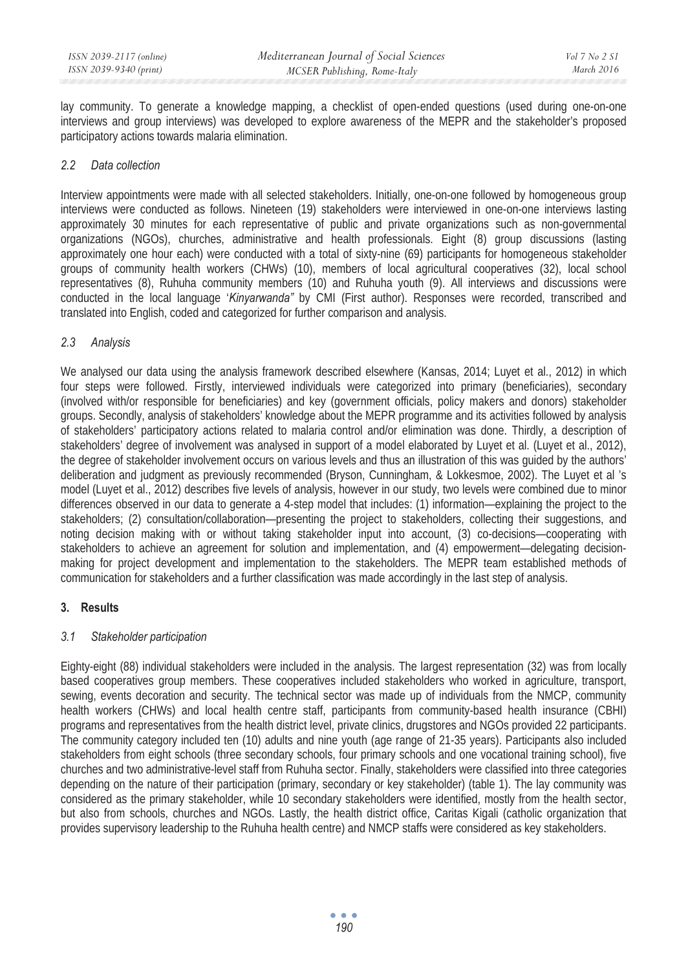lay community. To generate a knowledge mapping, a checklist of open-ended questions (used during one-on-one interviews and group interviews) was developed to explore awareness of the MEPR and the stakeholder's proposed participatory actions towards malaria elimination.

## *2.2 Data collection*

Interview appointments were made with all selected stakeholders. Initially, one-on-one followed by homogeneous group interviews were conducted as follows. Nineteen (19) stakeholders were interviewed in one-on-one interviews lasting approximately 30 minutes for each representative of public and private organizations such as non-governmental organizations (NGOs), churches, administrative and health professionals. Eight (8) group discussions (lasting approximately one hour each) were conducted with a total of sixty-nine (69) participants for homogeneous stakeholder groups of community health workers (CHWs) (10), members of local agricultural cooperatives (32), local school representatives (8), Ruhuha community members (10) and Ruhuha youth (9). All interviews and discussions were conducted in the local language '*Kinyarwanda"* by CMI (First author). Responses were recorded, transcribed and translated into English, coded and categorized for further comparison and analysis.

## *2.3 Analysis*

We analysed our data using the analysis framework described elsewhere (Kansas, 2014; Luyet et al., 2012) in which four steps were followed. Firstly, interviewed individuals were categorized into primary (beneficiaries), secondary (involved with/or responsible for beneficiaries) and key (government officials, policy makers and donors) stakeholder groups. Secondly, analysis of stakeholders' knowledge about the MEPR programme and its activities followed by analysis of stakeholders' participatory actions related to malaria control and/or elimination was done. Thirdly, a description of stakeholders' degree of involvement was analysed in support of a model elaborated by Luyet et al. (Luyet et al., 2012), the degree of stakeholder involvement occurs on various levels and thus an illustration of this was guided by the authors' deliberation and judgment as previously recommended (Bryson, Cunningham, & Lokkesmoe, 2002). The Luyet et al 's model (Luyet et al., 2012) describes five levels of analysis, however in our study, two levels were combined due to minor differences observed in our data to generate a 4-step model that includes: (1) information—explaining the project to the stakeholders; (2) consultation/collaboration—presenting the project to stakeholders, collecting their suggestions, and noting decision making with or without taking stakeholder input into account, (3) co-decisions—cooperating with stakeholders to achieve an agreement for solution and implementation, and (4) empowerment—delegating decisionmaking for project development and implementation to the stakeholders. The MEPR team established methods of communication for stakeholders and a further classification was made accordingly in the last step of analysis.

# **3. Results**

### *3.1 Stakeholder participation*

Eighty-eight (88) individual stakeholders were included in the analysis. The largest representation (32) was from locally based cooperatives group members. These cooperatives included stakeholders who worked in agriculture, transport, sewing, events decoration and security. The technical sector was made up of individuals from the NMCP, community health workers (CHWs) and local health centre staff, participants from community-based health insurance (CBHI) programs and representatives from the health district level, private clinics, drugstores and NGOs provided 22 participants. The community category included ten (10) adults and nine youth (age range of 21-35 years). Participants also included stakeholders from eight schools (three secondary schools, four primary schools and one vocational training school), five churches and two administrative-level staff from Ruhuha sector. Finally, stakeholders were classified into three categories depending on the nature of their participation (primary, secondary or key stakeholder) (table 1). The lay community was considered as the primary stakeholder, while 10 secondary stakeholders were identified, mostly from the health sector, but also from schools, churches and NGOs. Lastly, the health district office, Caritas Kigali (catholic organization that provides supervisory leadership to the Ruhuha health centre) and NMCP staffs were considered as key stakeholders.

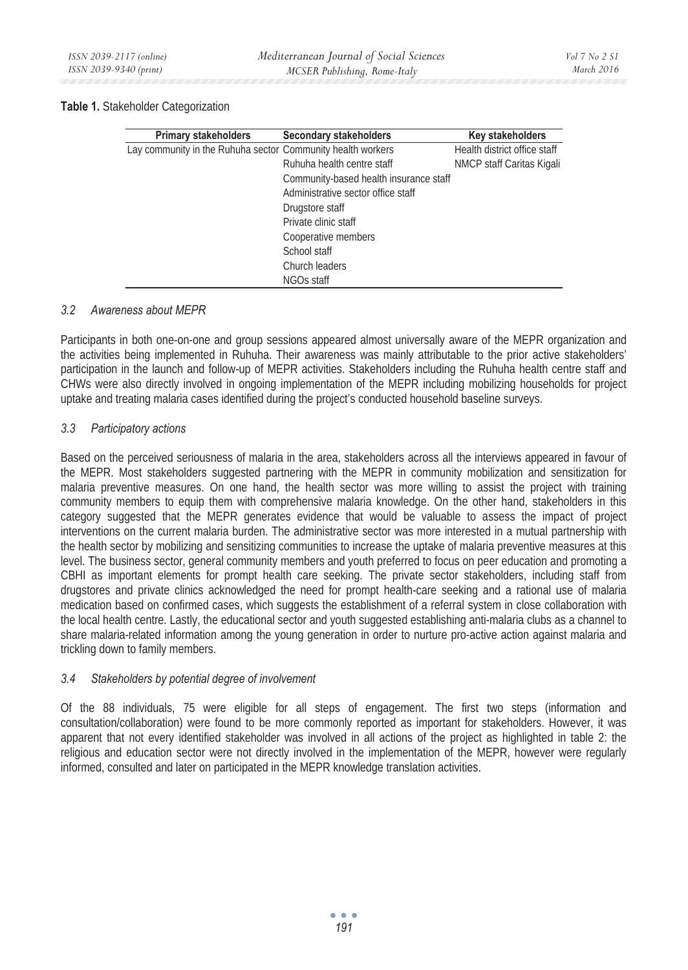#### **Table 1.** Stakeholder Categorization

| <b>Primary stakeholders</b>                                 | Secondary stakeholders                 | Key stakeholders             |
|-------------------------------------------------------------|----------------------------------------|------------------------------|
| Lay community in the Ruhuha sector Community health workers |                                        | Health district office staff |
|                                                             | Ruhuha health centre staff             | NMCP staff Caritas Kigali    |
|                                                             | Community-based health insurance staff |                              |
|                                                             | Administrative sector office staff     |                              |
|                                                             | Drugstore staff                        |                              |
|                                                             | Private clinic staff                   |                              |
|                                                             | Cooperative members                    |                              |
|                                                             | School staff                           |                              |
|                                                             | Church leaders                         |                              |
|                                                             | NGOs staff                             |                              |

## *3.2 Awareness about MEPR*

Participants in both one-on-one and group sessions appeared almost universally aware of the MEPR organization and the activities being implemented in Ruhuha. Their awareness was mainly attributable to the prior active stakeholders' participation in the launch and follow-up of MEPR activities. Stakeholders including the Ruhuha health centre staff and CHWs were also directly involved in ongoing implementation of the MEPR including mobilizing households for project uptake and treating malaria cases identified during the project's conducted household baseline surveys.

### *3.3 Participatory actions*

Based on the perceived seriousness of malaria in the area, stakeholders across all the interviews appeared in favour of the MEPR. Most stakeholders suggested partnering with the MEPR in community mobilization and sensitization for malaria preventive measures. On one hand, the health sector was more willing to assist the project with training community members to equip them with comprehensive malaria knowledge. On the other hand, stakeholders in this category suggested that the MEPR generates evidence that would be valuable to assess the impact of project interventions on the current malaria burden. The administrative sector was more interested in a mutual partnership with the health sector by mobilizing and sensitizing communities to increase the uptake of malaria preventive measures at this level. The business sector, general community members and youth preferred to focus on peer education and promoting a CBHI as important elements for prompt health care seeking. The private sector stakeholders, including staff from drugstores and private clinics acknowledged the need for prompt health-care seeking and a rational use of malaria medication based on confirmed cases, which suggests the establishment of a referral system in close collaboration with the local health centre. Lastly, the educational sector and youth suggested establishing anti-malaria clubs as a channel to share malaria-related information among the young generation in order to nurture pro-active action against malaria and trickling down to family members.

### *3.4 Stakeholders by potential degree of involvement*

Of the 88 individuals, 75 were eligible for all steps of engagement. The first two steps (information and consultation/collaboration) were found to be more commonly reported as important for stakeholders. However, it was apparent that not every identified stakeholder was involved in all actions of the project as highlighted in table 2: the religious and education sector were not directly involved in the implementation of the MEPR, however were regularly informed, consulted and later on participated in the MEPR knowledge translation activities.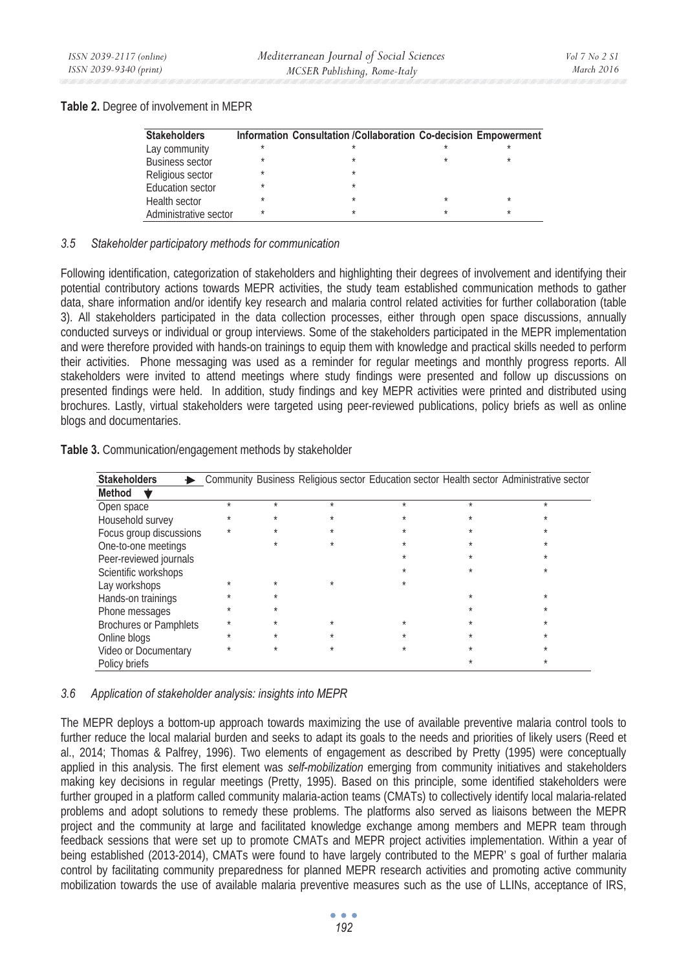## **Table 2.** Degree of involvement in MEPR

| <b>Stakeholders</b>     |         | Information Consultation /Collaboration Co-decision Empowerment |   |         |
|-------------------------|---------|-----------------------------------------------------------------|---|---------|
| Lay community           |         |                                                                 |   |         |
| <b>Business sector</b>  |         |                                                                 |   |         |
| Religious sector        |         | $\star$                                                         |   |         |
| <b>Education sector</b> | $\star$ | $\star$                                                         |   |         |
| Health sector           |         |                                                                 | ÷ | $\star$ |
| Administrative sector   | $\star$ | ×                                                               | ÷ | $\star$ |

## *3.5 Stakeholder participatory methods for communication*

Following identification, categorization of stakeholders and highlighting their degrees of involvement and identifying their potential contributory actions towards MEPR activities, the study team established communication methods to gather data, share information and/or identify key research and malaria control related activities for further collaboration (table 3). All stakeholders participated in the data collection processes, either through open space discussions, annually conducted surveys or individual or group interviews. Some of the stakeholders participated in the MEPR implementation and were therefore provided with hands-on trainings to equip them with knowledge and practical skills needed to perform their activities. Phone messaging was used as a reminder for regular meetings and monthly progress reports. All stakeholders were invited to attend meetings where study findings were presented and follow up discussions on presented findings were held. In addition, study findings and key MEPR activities were printed and distributed using brochures. Lastly, virtual stakeholders were targeted using peer-reviewed publications, policy briefs as well as online blogs and documentaries.

| Table 3. Communication/engagement methods by stakeholder |
|----------------------------------------------------------|
|----------------------------------------------------------|

| <b>Stakeholders</b>           |   |         |         |         |         | Community Business Religious sector Education sector Health sector Administrative sector |
|-------------------------------|---|---------|---------|---------|---------|------------------------------------------------------------------------------------------|
| Method                        |   |         |         |         |         |                                                                                          |
| Open space                    | ÷ | $\star$ | $\star$ | $\star$ | $\star$ | $\star$                                                                                  |
| Household survey              |   | $\star$ |         | $\star$ |         |                                                                                          |
| Focus group discussions       |   | $\star$ |         |         |         |                                                                                          |
| One-to-one meetings           |   |         |         | $\star$ |         |                                                                                          |
| Peer-reviewed journals        |   |         |         |         |         |                                                                                          |
| Scientific workshops          |   |         |         |         |         |                                                                                          |
| Lay workshops                 |   | $\star$ |         |         |         |                                                                                          |
| Hands-on trainings            |   |         |         |         |         |                                                                                          |
| Phone messages                | ÷ | $\star$ |         |         |         |                                                                                          |
| <b>Brochures or Pamphlets</b> | ÷ | $\star$ |         | ÷       |         |                                                                                          |
| Online blogs                  |   | $\star$ |         | $\star$ |         |                                                                                          |
| Video or Documentary          |   |         | $\star$ |         |         |                                                                                          |
| Policy briefs                 |   |         |         |         |         |                                                                                          |

# *3.6 Application of stakeholder analysis: insights into MEPR*

The MEPR deploys a bottom-up approach towards maximizing the use of available preventive malaria control tools to further reduce the local malarial burden and seeks to adapt its goals to the needs and priorities of likely users (Reed et al., 2014; Thomas & Palfrey, 1996). Two elements of engagement as described by Pretty (1995) were conceptually applied in this analysis. The first element was *self-mobilization* emerging from community initiatives and stakeholders making key decisions in regular meetings (Pretty, 1995). Based on this principle, some identified stakeholders were further grouped in a platform called community malaria-action teams (CMATs) to collectively identify local malaria-related problems and adopt solutions to remedy these problems. The platforms also served as liaisons between the MEPR project and the community at large and facilitated knowledge exchange among members and MEPR team through feedback sessions that were set up to promote CMATs and MEPR project activities implementation. Within a year of being established (2013-2014), CMATs were found to have largely contributed to the MEPR' s goal of further malaria control by facilitating community preparedness for planned MEPR research activities and promoting active community mobilization towards the use of available malaria preventive measures such as the use of LLINs, acceptance of IRS,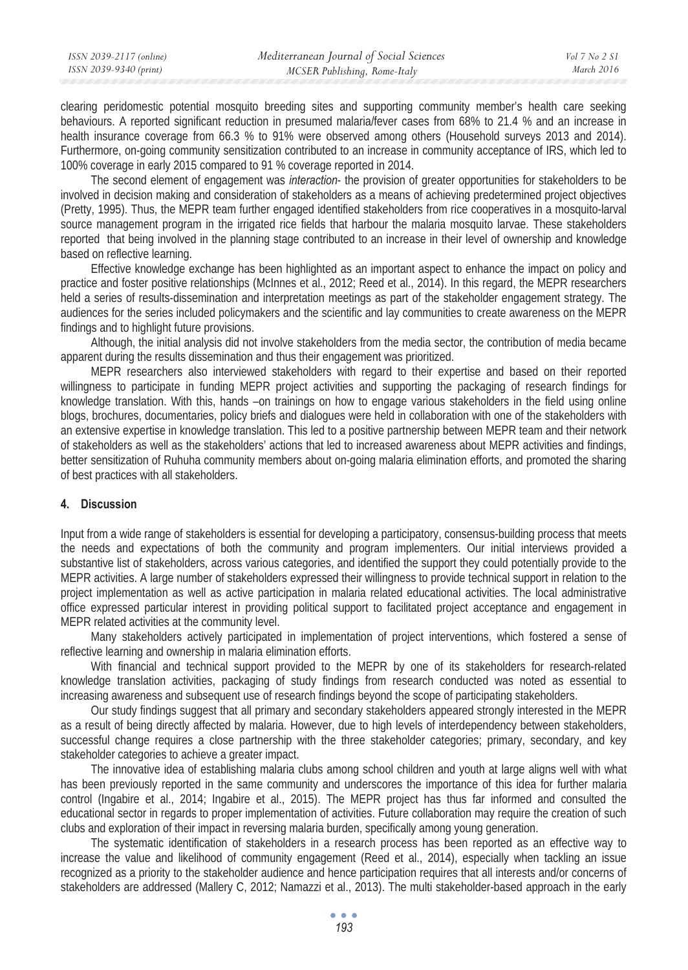| ISSN 2039-2117 (online) | Mediterranean Journal of Social Sciences | Vol 7 No 2 S1 |
|-------------------------|------------------------------------------|---------------|
| ISSN 2039-9340 (print)  | MCSER Publishing, Rome-Italy             | March 2016    |

clearing peridomestic potential mosquito breeding sites and supporting community member's health care seeking behaviours. A reported significant reduction in presumed malaria/fever cases from 68% to 21.4 % and an increase in health insurance coverage from 66.3 % to 91% were observed among others (Household surveys 2013 and 2014). Furthermore, on-going community sensitization contributed to an increase in community acceptance of IRS, which led to 100% coverage in early 2015 compared to 91 % coverage reported in 2014.

The second element of engagement was *interaction*- the provision of greater opportunities for stakeholders to be involved in decision making and consideration of stakeholders as a means of achieving predetermined project objectives (Pretty, 1995). Thus, the MEPR team further engaged identified stakeholders from rice cooperatives in a mosquito-larval source management program in the irrigated rice fields that harbour the malaria mosquito larvae. These stakeholders reported that being involved in the planning stage contributed to an increase in their level of ownership and knowledge based on reflective learning.

Effective knowledge exchange has been highlighted as an important aspect to enhance the impact on policy and practice and foster positive relationships (McInnes et al., 2012; Reed et al., 2014). In this regard, the MEPR researchers held a series of results-dissemination and interpretation meetings as part of the stakeholder engagement strategy. The audiences for the series included policymakers and the scientific and lay communities to create awareness on the MEPR findings and to highlight future provisions.

Although, the initial analysis did not involve stakeholders from the media sector, the contribution of media became apparent during the results dissemination and thus their engagement was prioritized.

MEPR researchers also interviewed stakeholders with regard to their expertise and based on their reported willingness to participate in funding MEPR project activities and supporting the packaging of research findings for knowledge translation. With this, hands –on trainings on how to engage various stakeholders in the field using online blogs, brochures, documentaries, policy briefs and dialogues were held in collaboration with one of the stakeholders with an extensive expertise in knowledge translation. This led to a positive partnership between MEPR team and their network of stakeholders as well as the stakeholders' actions that led to increased awareness about MEPR activities and findings, better sensitization of Ruhuha community members about on-going malaria elimination efforts, and promoted the sharing of best practices with all stakeholders.

### **4. Discussion**

Input from a wide range of stakeholders is essential for developing a participatory, consensus-building process that meets the needs and expectations of both the community and program implementers. Our initial interviews provided a substantive list of stakeholders, across various categories, and identified the support they could potentially provide to the MEPR activities. A large number of stakeholders expressed their willingness to provide technical support in relation to the project implementation as well as active participation in malaria related educational activities. The local administrative office expressed particular interest in providing political support to facilitated project acceptance and engagement in MEPR related activities at the community level.

Many stakeholders actively participated in implementation of project interventions, which fostered a sense of reflective learning and ownership in malaria elimination efforts.

With financial and technical support provided to the MEPR by one of its stakeholders for research-related knowledge translation activities, packaging of study findings from research conducted was noted as essential to increasing awareness and subsequent use of research findings beyond the scope of participating stakeholders.

Our study findings suggest that all primary and secondary stakeholders appeared strongly interested in the MEPR as a result of being directly affected by malaria. However, due to high levels of interdependency between stakeholders, successful change requires a close partnership with the three stakeholder categories; primary, secondary, and key stakeholder categories to achieve a greater impact.

The innovative idea of establishing malaria clubs among school children and youth at large aligns well with what has been previously reported in the same community and underscores the importance of this idea for further malaria control (Ingabire et al., 2014; Ingabire et al., 2015). The MEPR project has thus far informed and consulted the educational sector in regards to proper implementation of activities. Future collaboration may require the creation of such clubs and exploration of their impact in reversing malaria burden, specifically among young generation.

The systematic identification of stakeholders in a research process has been reported as an effective way to increase the value and likelihood of community engagement (Reed et al., 2014), especially when tackling an issue recognized as a priority to the stakeholder audience and hence participation requires that all interests and/or concerns of stakeholders are addressed (Mallery C, 2012; Namazzi et al., 2013). The multi stakeholder-based approach in the early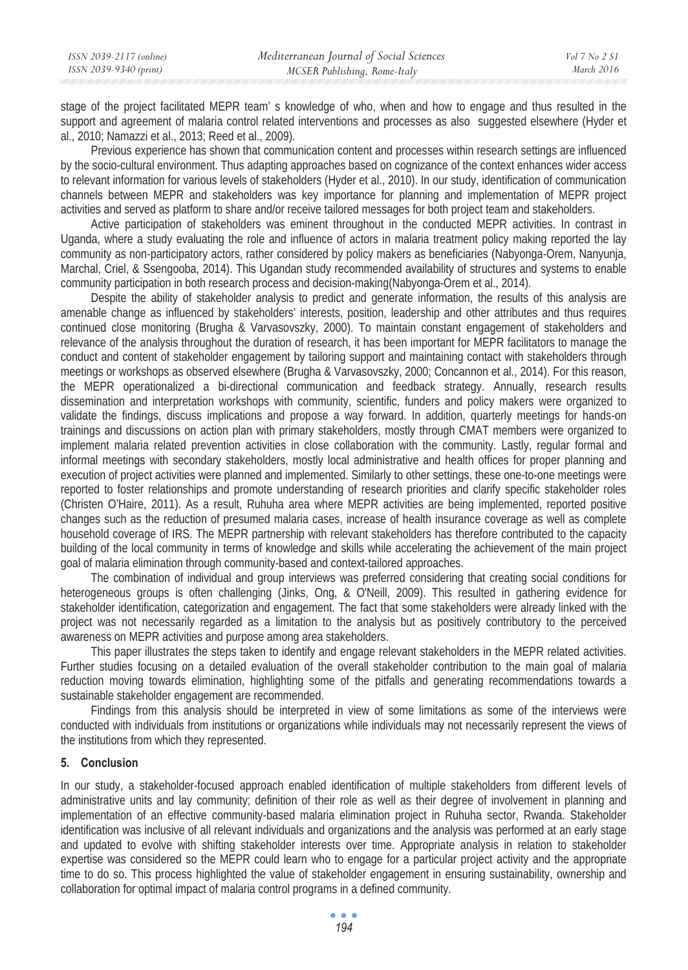stage of the project facilitated MEPR team' s knowledge of who, when and how to engage and thus resulted in the support and agreement of malaria control related interventions and processes as also suggested elsewhere (Hyder et al., 2010; Namazzi et al., 2013; Reed et al., 2009).

Previous experience has shown that communication content and processes within research settings are influenced by the socio-cultural environment. Thus adapting approaches based on cognizance of the context enhances wider access to relevant information for various levels of stakeholders (Hyder et al., 2010). In our study, identification of communication channels between MEPR and stakeholders was key importance for planning and implementation of MEPR project activities and served as platform to share and/or receive tailored messages for both project team and stakeholders.

Active participation of stakeholders was eminent throughout in the conducted MEPR activities. In contrast in Uganda, where a study evaluating the role and influence of actors in malaria treatment policy making reported the lay community as non-participatory actors, rather considered by policy makers as beneficiaries (Nabyonga-Orem, Nanyunja, Marchal, Criel, & Ssengooba, 2014). This Ugandan study recommended availability of structures and systems to enable community participation in both research process and decision-making(Nabyonga-Orem et al., 2014).

Despite the ability of stakeholder analysis to predict and generate information, the results of this analysis are amenable change as influenced by stakeholders' interests, position, leadership and other attributes and thus requires continued close monitoring (Brugha & Varvasovszky, 2000). To maintain constant engagement of stakeholders and relevance of the analysis throughout the duration of research, it has been important for MEPR facilitators to manage the conduct and content of stakeholder engagement by tailoring support and maintaining contact with stakeholders through meetings or workshops as observed elsewhere (Brugha & Varvasovszky, 2000; Concannon et al., 2014). For this reason, the MEPR operationalized a bi-directional communication and feedback strategy. Annually, research results dissemination and interpretation workshops with community, scientific, funders and policy makers were organized to validate the findings, discuss implications and propose a way forward. In addition, quarterly meetings for hands-on trainings and discussions on action plan with primary stakeholders, mostly through CMAT members were organized to implement malaria related prevention activities in close collaboration with the community. Lastly, regular formal and informal meetings with secondary stakeholders, mostly local administrative and health offices for proper planning and execution of project activities were planned and implemented. Similarly to other settings, these one-to-one meetings were reported to foster relationships and promote understanding of research priorities and clarify specific stakeholder roles (Christen O'Haire, 2011). As a result, Ruhuha area where MEPR activities are being implemented, reported positive changes such as the reduction of presumed malaria cases, increase of health insurance coverage as well as complete household coverage of IRS. The MEPR partnership with relevant stakeholders has therefore contributed to the capacity building of the local community in terms of knowledge and skills while accelerating the achievement of the main project goal of malaria elimination through community-based and context-tailored approaches.

The combination of individual and group interviews was preferred considering that creating social conditions for heterogeneous groups is often challenging (Jinks, Ong, & O'Neill, 2009). This resulted in gathering evidence for stakeholder identification, categorization and engagement. The fact that some stakeholders were already linked with the project was not necessarily regarded as a limitation to the analysis but as positively contributory to the perceived awareness on MEPR activities and purpose among area stakeholders.

This paper illustrates the steps taken to identify and engage relevant stakeholders in the MEPR related activities. Further studies focusing on a detailed evaluation of the overall stakeholder contribution to the main goal of malaria reduction moving towards elimination, highlighting some of the pitfalls and generating recommendations towards a sustainable stakeholder engagement are recommended.

Findings from this analysis should be interpreted in view of some limitations as some of the interviews were conducted with individuals from institutions or organizations while individuals may not necessarily represent the views of the institutions from which they represented.

# **5. Conclusion**

In our study, a stakeholder-focused approach enabled identification of multiple stakeholders from different levels of administrative units and lay community; definition of their role as well as their degree of involvement in planning and implementation of an effective community-based malaria elimination project in Ruhuha sector, Rwanda. Stakeholder identification was inclusive of all relevant individuals and organizations and the analysis was performed at an early stage and updated to evolve with shifting stakeholder interests over time. Appropriate analysis in relation to stakeholder expertise was considered so the MEPR could learn who to engage for a particular project activity and the appropriate time to do so. This process highlighted the value of stakeholder engagement in ensuring sustainability, ownership and collaboration for optimal impact of malaria control programs in a defined community.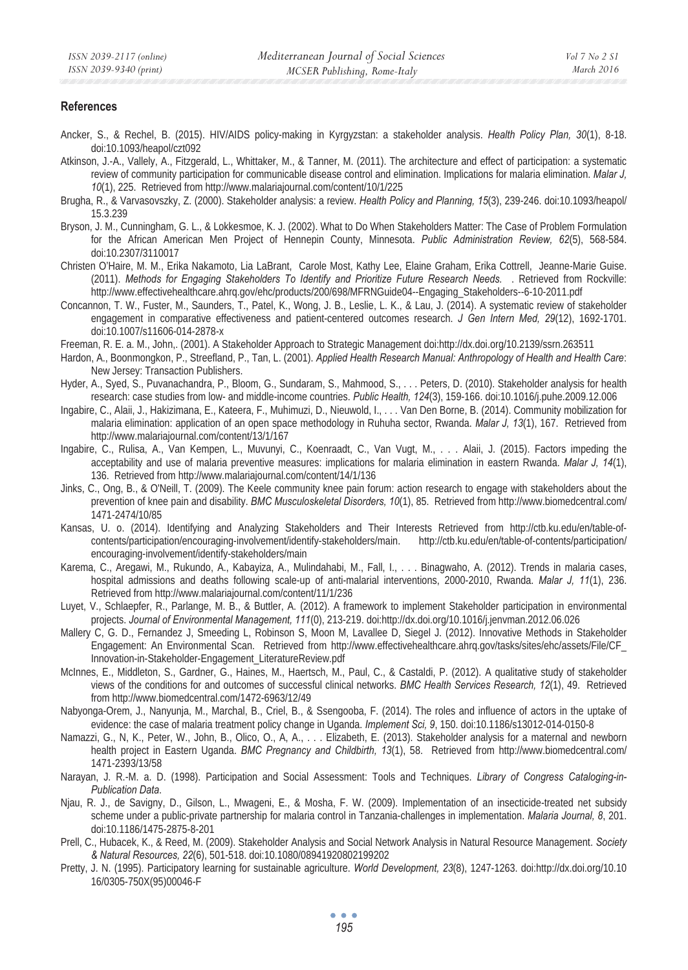#### **References**

- Ancker, S., & Rechel, B. (2015). HIV/AIDS policy-making in Kyrgyzstan: a stakeholder analysis. *Health Policy Plan, 30*(1), 8-18. doi:10.1093/heapol/czt092
- Atkinson, J.-A., Vallely, A., Fitzgerald, L., Whittaker, M., & Tanner, M. (2011). The architecture and effect of participation: a systematic review of community participation for communicable disease control and elimination. Implications for malaria elimination. *Malar J, 10*(1), 225. Retrieved from http://www.malariajournal.com/content/10/1/225
- Brugha, R., & Varvasovszky, Z. (2000). Stakeholder analysis: a review. *Health Policy and Planning, 15*(3), 239-246. doi:10.1093/heapol/ 15.3.239
- Bryson, J. M., Cunningham, G. L., & Lokkesmoe, K. J. (2002). What to Do When Stakeholders Matter: The Case of Problem Formulation for the African American Men Project of Hennepin County, Minnesota. *Public Administration Review, 62*(5), 568-584. doi:10.2307/3110017
- Christen O'Haire, M. M., Erika Nakamoto, Lia LaBrant, Carole Most, Kathy Lee, Elaine Graham, Erika Cottrell, Jeanne-Marie Guise. (2011). *Methods for Engaging Stakeholders To Identify and Prioritize Future Research Needs.* . Retrieved from Rockville: http://www.effectivehealthcare.ahrq.gov/ehc/products/200/698/MFRNGuide04--Engaging\_Stakeholders--6-10-2011.pdf
- Concannon, T. W., Fuster, M., Saunders, T., Patel, K., Wong, J. B., Leslie, L. K., & Lau, J. (2014). A systematic review of stakeholder engagement in comparative effectiveness and patient-centered outcomes research. *J Gen Intern Med, 29*(12), 1692-1701. doi:10.1007/s11606-014-2878-x
- Freeman, R. E. a. M., John,. (2001). A Stakeholder Approach to Strategic Management doi:http://dx.doi.org/10.2139/ssrn.263511
- Hardon, A., Boonmongkon, P., Streefland, P., Tan, L. (2001). *Applied Health Research Manual: Anthropology of Health and Health Care*: New Jersey: Transaction Publishers.
- Hyder, A., Syed, S., Puvanachandra, P., Bloom, G., Sundaram, S., Mahmood, S., . . . Peters, D. (2010). Stakeholder analysis for health research: case studies from low- and middle-income countries. *Public Health, 124*(3), 159-166. doi:10.1016/j.puhe.2009.12.006
- Ingabire, C., Alaii, J., Hakizimana, E., Kateera, F., Muhimuzi, D., Nieuwold, I., . . . Van Den Borne, B. (2014). Community mobilization for malaria elimination: application of an open space methodology in Ruhuha sector, Rwanda. *Malar J, 13*(1), 167. Retrieved from http://www.malariajournal.com/content/13/1/167
- Ingabire, C., Rulisa, A., Van Kempen, L., Muvunyi, C., Koenraadt, C., Van Vugt, M., . . . Alaii, J. (2015). Factors impeding the acceptability and use of malaria preventive measures: implications for malaria elimination in eastern Rwanda. *Malar J, 14*(1), 136. Retrieved from http://www.malariajournal.com/content/14/1/136
- Jinks, C., Ong, B., & O'Neill, T. (2009). The Keele community knee pain forum: action research to engage with stakeholders about the prevention of knee pain and disability. *BMC Musculoskeletal Disorders, 10*(1), 85. Retrieved from http://www.biomedcentral.com/ 1471-2474/10/85
- Kansas, U. o. (2014). Identifying and Analyzing Stakeholders and Their Interests Retrieved from http://ctb.ku.edu/en/table-ofcontents/participation/encouraging-involvement/identify-stakeholders/main. http://ctb.ku.edu/en/table-of-contents/participation/ encouraging-involvement/identify-stakeholders/main
- Karema, C., Aregawi, M., Rukundo, A., Kabayiza, A., Mulindahabi, M., Fall, I., . . . Binagwaho, A. (2012). Trends in malaria cases, hospital admissions and deaths following scale-up of anti-malarial interventions, 2000-2010, Rwanda. *Malar J, 11*(1), 236. Retrieved from http://www.malariajournal.com/content/11/1/236
- Luyet, V., Schlaepfer, R., Parlange, M. B., & Buttler, A. (2012). A framework to implement Stakeholder participation in environmental projects. *Journal of Environmental Management, 111*(0), 213-219. doi:http://dx.doi.org/10.1016/j.jenvman.2012.06.026
- Mallery C, G. D., Fernandez J, Smeeding L, Robinson S, Moon M, Lavallee D, Siegel J. (2012). Innovative Methods in Stakeholder Engagement: An Environmental Scan. Retrieved from http://www.effectivehealthcare.ahrq.gov/tasks/sites/ehc/assets/File/CF\_ Innovation-in-Stakeholder-Engagement\_LiteratureReview.pdf
- McInnes, E., Middleton, S., Gardner, G., Haines, M., Haertsch, M., Paul, C., & Castaldi, P. (2012). A qualitative study of stakeholder views of the conditions for and outcomes of successful clinical networks. *BMC Health Services Research, 12*(1), 49. Retrieved from http://www.biomedcentral.com/1472-6963/12/49
- Nabyonga-Orem, J., Nanyunja, M., Marchal, B., Criel, B., & Ssengooba, F. (2014). The roles and influence of actors in the uptake of evidence: the case of malaria treatment policy change in Uganda. *Implement Sci, 9*, 150. doi:10.1186/s13012-014-0150-8
- Namazzi, G., N, K., Peter, W., John, B., Olico, O., A, A., . . . Elizabeth, E. (2013). Stakeholder analysis for a maternal and newborn health project in Eastern Uganda. *BMC Pregnancy and Childbirth, 13*(1), 58. Retrieved from http://www.biomedcentral.com/ 1471-2393/13/58
- Narayan, J. R.-M. a. D. (1998). Participation and Social Assessment: Tools and Techniques. *Library of Congress Cataloging-in-Publication Data*.
- Njau, R. J., de Savigny, D., Gilson, L., Mwageni, E., & Mosha, F. W. (2009). Implementation of an insecticide-treated net subsidy scheme under a public-private partnership for malaria control in Tanzania-challenges in implementation. *Malaria Journal, 8*, 201. doi:10.1186/1475-2875-8-201
- Prell, C., Hubacek, K., & Reed, M. (2009). Stakeholder Analysis and Social Network Analysis in Natural Resource Management. *Society & Natural Resources, 22*(6), 501-518. doi:10.1080/08941920802199202
- Pretty, J. N. (1995). Participatory learning for sustainable agriculture. *World Development, 23*(8), 1247-1263. doi:http://dx.doi.org/10.10 16/0305-750X(95)00046-F